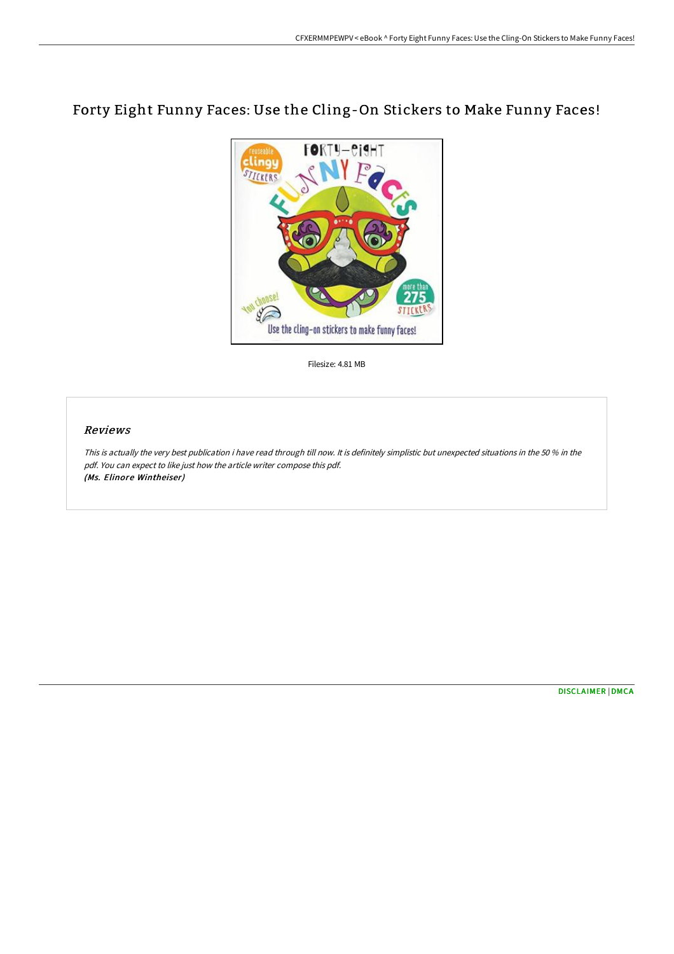## Forty Eight Funny Faces: Use the Cling-On Stickers to Make Funny Faces!



Filesize: 4.81 MB

## Reviews

This is actually the very best publication i have read through till now. It is definitely simplistic but unexpected situations in the <sup>50</sup> % in the pdf. You can expect to like just how the article writer compose this pdf. (Ms. Elinore Wintheiser)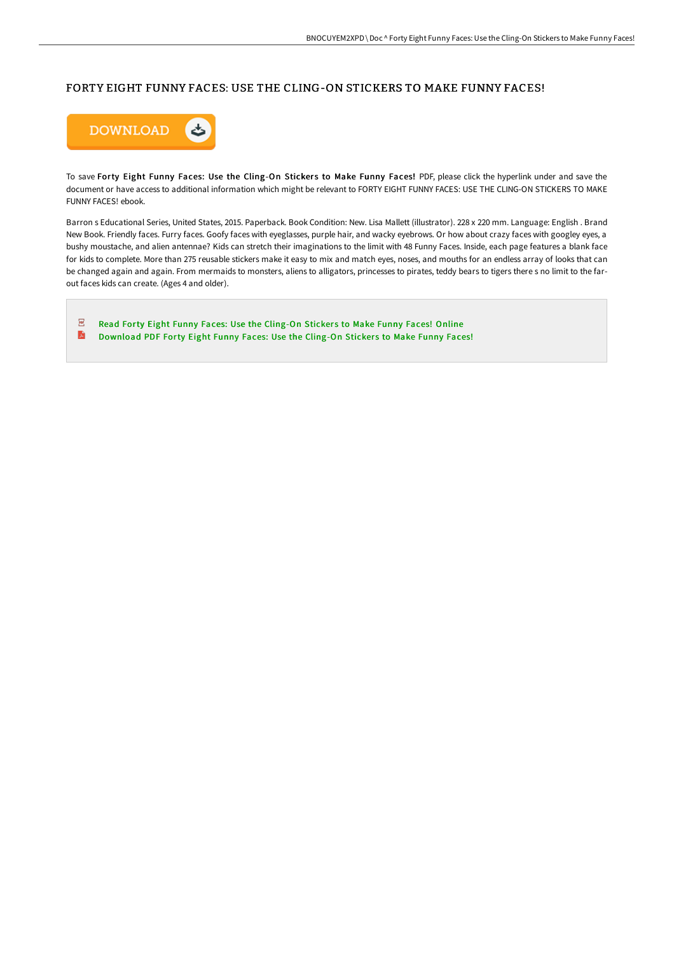## FORTY EIGHT FUNNY FACES: USE THE CLING-ON STICKERS TO MAKE FUNNY FACES!



To save Forty Eight Funny Faces: Use the Cling-On Stickers to Make Funny Faces! PDF, please click the hyperlink under and save the document or have access to additional information which might be relevant to FORTY EIGHT FUNNY FACES: USE THE CLING-ON STICKERS TO MAKE FUNNY FACES! ebook.

Barron s Educational Series, United States, 2015. Paperback. Book Condition: New. Lisa Mallett (illustrator). 228 x 220 mm. Language: English . Brand New Book. Friendly faces. Furry faces. Goofy faces with eyeglasses, purple hair, and wacky eyebrows. Or how about crazy faces with googley eyes, a bushy moustache, and alien antennae? Kids can stretch their imaginations to the limit with 48 Funny Faces. Inside, each page features a blank face for kids to complete. More than 275 reusable stickers make it easy to mix and match eyes, noses, and mouths for an endless array of looks that can be changed again and again. From mermaids to monsters, aliens to alligators, princesses to pirates, teddy bears to tigers there s no limit to the farout faces kids can create. (Ages 4 and older).

 $\sqrt{200}$ Read Forty Eight Funny Faces: Use the [Cling-On](http://digilib.live/forty-eight-funny-faces-use-the-cling-on-sticker.html) Stickers to Make Funny Faces! Online A [Download](http://digilib.live/forty-eight-funny-faces-use-the-cling-on-sticker.html) PDF Forty Eight Funny Faces: Use the Cling-On Stickers to Make Funny Faces!